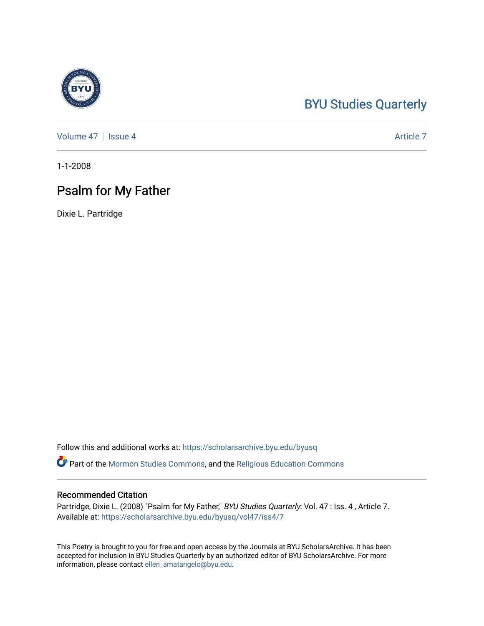## [BYU Studies Quarterly](https://scholarsarchive.byu.edu/byusq)

[Volume 47](https://scholarsarchive.byu.edu/byusq/vol47) | [Issue 4](https://scholarsarchive.byu.edu/byusq/vol47/iss4) Article 7

1-1-2008

## Psalm for My Father

Dixie L. Partridge

Follow this and additional works at: [https://scholarsarchive.byu.edu/byusq](https://scholarsarchive.byu.edu/byusq?utm_source=scholarsarchive.byu.edu%2Fbyusq%2Fvol47%2Fiss4%2F7&utm_medium=PDF&utm_campaign=PDFCoverPages) 

Part of the [Mormon Studies Commons](http://network.bepress.com/hgg/discipline/1360?utm_source=scholarsarchive.byu.edu%2Fbyusq%2Fvol47%2Fiss4%2F7&utm_medium=PDF&utm_campaign=PDFCoverPages), and the [Religious Education Commons](http://network.bepress.com/hgg/discipline/1414?utm_source=scholarsarchive.byu.edu%2Fbyusq%2Fvol47%2Fiss4%2F7&utm_medium=PDF&utm_campaign=PDFCoverPages) 

## Recommended Citation

Partridge, Dixie L. (2008) "Psalm for My Father," BYU Studies Quarterly: Vol. 47 : Iss. 4, Article 7. Available at: [https://scholarsarchive.byu.edu/byusq/vol47/iss4/7](https://scholarsarchive.byu.edu/byusq/vol47/iss4/7?utm_source=scholarsarchive.byu.edu%2Fbyusq%2Fvol47%2Fiss4%2F7&utm_medium=PDF&utm_campaign=PDFCoverPages)

This Poetry is brought to you for free and open access by the Journals at BYU ScholarsArchive. It has been accepted for inclusion in BYU Studies Quarterly by an authorized editor of BYU ScholarsArchive. For more information, please contact [ellen\\_amatangelo@byu.edu.](mailto:ellen_amatangelo@byu.edu)